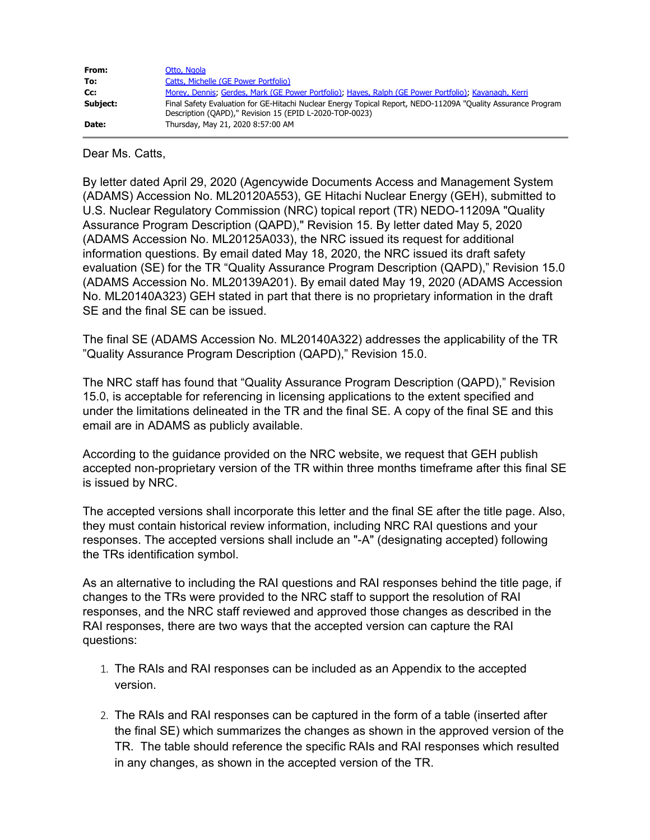| From:    | Otto, Ngola                                                                                                                                                             |
|----------|-------------------------------------------------------------------------------------------------------------------------------------------------------------------------|
| To:      | Catts, Michelle (GE Power Portfolio)                                                                                                                                    |
| Cc:      | Morey, Dennis; Gerdes, Mark (GE Power Portfolio); Hayes, Ralph (GE Power Portfolio); Kavanagh, Kerri                                                                    |
| Subject: | Final Safety Evaluation for GE-Hitachi Nuclear Energy Topical Report, NEDO-11209A "Quality Assurance Program<br>Description (QAPD)," Revision 15 (EPID L-2020-TOP-0023) |
| Date:    | Thursday, May 21, 2020 8:57:00 AM                                                                                                                                       |

Dear Ms. Catts,

By letter dated April 29, 2020 (Agencywide Documents Access and Management System (ADAMS) Accession No. ML20120A553), GE Hitachi Nuclear Energy (GEH), submitted to U.S. Nuclear Regulatory Commission (NRC) topical report (TR) NEDO-11209A "Quality Assurance Program Description (QAPD)," Revision 15. By letter dated May 5, 2020 (ADAMS Accession No. ML20125A033), the NRC issued its request for additional information questions. By email dated May 18, 2020, the NRC issued its draft safety evaluation (SE) for the TR "Quality Assurance Program Description (QAPD)," Revision 15.0 (ADAMS Accession No. ML20139A201). By email dated May 19, 2020 (ADAMS Accession No. ML20140A323) GEH stated in part that there is no proprietary information in the draft SE and the final SE can be issued.

The final SE (ADAMS Accession No. ML20140A322) addresses the applicability of the TR "Quality Assurance Program Description (QAPD)," Revision 15.0.

The NRC staff has found that "Quality Assurance Program Description (QAPD)," Revision 15.0, is acceptable for referencing in licensing applications to the extent specified and under the limitations delineated in the TR and the final SE. A copy of the final SE and this email are in ADAMS as publicly available.

According to the guidance provided on the NRC website, we request that GEH publish accepted non-proprietary version of the TR within three months timeframe after this final SE is issued by NRC.

The accepted versions shall incorporate this letter and the final SE after the title page. Also, they must contain historical review information, including NRC RAI questions and your responses. The accepted versions shall include an "-A" (designating accepted) following the TRs identification symbol.

As an alternative to including the RAI questions and RAI responses behind the title page, if changes to the TRs were provided to the NRC staff to support the resolution of RAI responses, and the NRC staff reviewed and approved those changes as described in the RAI responses, there are two ways that the accepted version can capture the RAI questions:

- 1. The RAIs and RAI responses can be included as an Appendix to the accepted version.
- 2. The RAIs and RAI responses can be captured in the form of a table (inserted after the final SE) which summarizes the changes as shown in the approved version of the TR. The table should reference the specific RAIs and RAI responses which resulted in any changes, as shown in the accepted version of the TR.